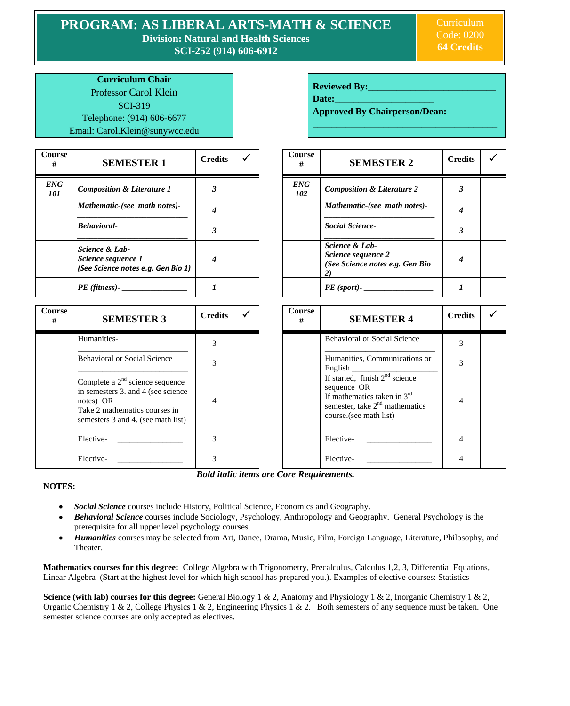**PROGRAM: AS LIBERAL ARTS-MATH & SCIENCE Division: Natural and Health Sciences**

**SCI-252 (914) 606-6912**

Curriculum Code: 0200 **64 Credits**

**Curriculum Chair** Professor Carol Klein SCI-319 Telephone: (914) 606-6677 Email: Carol.Klein@sunywcc.edu

| Course<br># | <b>SEMESTER 1</b>                                                          | <b>Credits</b> | V | Course<br>#       | <b>SEMESTER 2</b>                                                       | Cre |
|-------------|----------------------------------------------------------------------------|----------------|---|-------------------|-------------------------------------------------------------------------|-----|
| ENG<br>101  | <b>Composition &amp; Literature 1</b>                                      |                |   | <b>ENG</b><br>102 | <b>Composition &amp; Literature 2</b>                                   |     |
|             | Mathematic-(see math notes)-                                               |                |   |                   | Mathematic-(see math notes)-                                            |     |
|             | <b>Behavioral-</b>                                                         | 3              |   |                   | <b>Social Science-</b>                                                  |     |
|             | Science & Lab-<br>Science sequence 1<br>(See Science notes e.g. Gen Bio 1) | 4              |   |                   | Science & Lab-<br>Science sequence 2<br>(See Science notes e.g. Gen Bio |     |
|             | $PE$ (fitness)-                                                            |                |   |                   | $PE$ (sport)- $_{-}$                                                    |     |

**Course**   $\frac{1}{\#}$  **SEMESTER 3 Credits**  $\checkmark$ Humanities- \_\_\_\_\_\_\_\_\_\_\_\_\_\_\_\_\_\_\_\_\_\_\_\_\_\_\_ 3 Behavioral or Social Science \_\_\_\_\_\_\_\_\_\_\_\_\_\_\_\_\_\_\_\_\_\_\_\_\_\_\_ 3 Complete a  $2<sup>nd</sup>$  science sequence in semesters 3. and 4 (see science notes) OR Take 2 mathematics courses in semesters 3 and 4. (see math list) 4 Elective- \_\_\_\_\_\_\_\_\_\_\_\_\_\_\_\_\_\_\_\_\_ | 3 | | | | | Elective- \_\_\_\_\_\_\_\_\_\_\_\_\_\_ | 4 Elective- \_\_\_\_\_\_\_\_\_\_\_\_\_\_\_\_\_\_\_\_\_ | 3 | | | | | Elective- \_\_\_\_\_\_\_\_\_\_\_\_\_\_\_ | 4

| <b>Reviewed By:</b> |  |
|---------------------|--|
|                     |  |

Date:

**Approved By Chairperson/Dean:**

\_\_\_\_\_\_\_\_\_\_\_\_\_\_\_\_\_\_\_\_\_\_\_\_\_\_\_\_\_\_\_\_\_\_\_\_\_\_\_

| <b>Course</b><br># | <b>SEMESTER 2</b>                                                       | <b>Credits</b> |  |
|--------------------|-------------------------------------------------------------------------|----------------|--|
| <b>ENG</b><br>102  | <b>Composition &amp; Literature 2</b>                                   | 3              |  |
|                    | Mathematic-(see math notes)-                                            |                |  |
|                    | <b>Social Science-</b>                                                  | 3              |  |
|                    | Science & Lab-<br>Science sequence 2<br>(See Science notes e.g. Gen Bio |                |  |
|                    | PE (sport)-                                                             |                |  |

| <b>Course</b><br># | <b>SEMESTER 4</b>                                                                                                                               | <b>Credits</b> |  |
|--------------------|-------------------------------------------------------------------------------------------------------------------------------------------------|----------------|--|
|                    | <b>Behavioral or Social Science</b>                                                                                                             | 3              |  |
|                    | Humanities, Communications or<br>English                                                                                                        | 3              |  |
|                    | If started, finish $2nd$ science<br>sequence OR<br>If mathematics taken in $3rd$<br>semester, take $2nd$ mathematics<br>course. (see math list) | 4              |  |
|                    | Elective-                                                                                                                                       |                |  |
|                    | Elective-                                                                                                                                       |                |  |

*Bold italic items are Core Requirements.*

## **NOTES:**

- *Social Science* courses include History, Political Science, Economics and Geography.  $\bullet$
- *Behavioral Science* courses include Sociology, Psychology, Anthropology and Geography. General Psychology is the prerequisite for all upper level psychology courses.
- *Humanities* courses may be selected from Art, Dance, Drama, Music, Film, Foreign Language, Literature, Philosophy, and  $\bullet$ Theater.

**Mathematics courses for this degree:** College Algebra with Trigonometry, Precalculus, Calculus 1,2, 3, Differential Equations, Linear Algebra (Start at the highest level for which high school has prepared you.). Examples of elective courses: Statistics

**Science (with lab) courses for this degree:** General Biology 1 & 2, Anatomy and Physiology 1 & 2, Inorganic Chemistry 1 & 2, Organic Chemistry 1 & 2, College Physics 1 & 2, Engineering Physics 1 & 2. Both semesters of any sequence must be taken. One semester science courses are only accepted as electives.